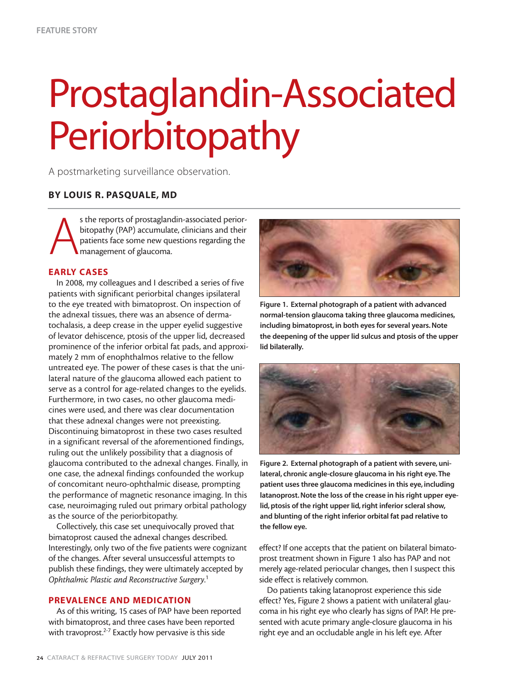## Prostaglandin-Associated Periorbitopathy

A postmarketing surveillance observation.

### **BY LOUIS R. PASQUALE, MD**

A s the reports of prostaglandin-associated periorbitopathy (PAP) accumulate, clinicians and their patients face some new questions regarding the management of glaucoma.

#### **EARLY CASES**

In 2008, my colleagues and I described a series of five patients with significant periorbital changes ipsilateral to the eye treated with bimatoprost. On inspection of the adnexal tissues, there was an absence of dermatochalasis, a deep crease in the upper eyelid suggestive of levator dehiscence, ptosis of the upper lid, decreased prominence of the inferior orbital fat pads, and approximately 2 mm of enophthalmos relative to the fellow untreated eye. The power of these cases is that the unilateral nature of the glaucoma allowed each patient to serve as a control for age-related changes to the eyelids. Furthermore, in two cases, no other glaucoma medicines were used, and there was clear documentation that these adnexal changes were not preexisting. Discontinuing bimatoprost in these two cases resulted in a significant reversal of the aforementioned findings, ruling out the unlikely possibility that a diagnosis of glaucoma contributed to the adnexal changes. Finally, in one case, the adnexal findings confounded the workup of concomitant neuro-ophthalmic disease, prompting the performance of magnetic resonance imaging. In this case, neuroimaging ruled out primary orbital pathology as the source of the periorbitopathy.

Collectively, this case set unequivocally proved that bimatoprost caused the adnexal changes described. Interestingly, only two of the five patients were cognizant of the changes. After several unsuccessful attempts to publish these findings, they were ultimately accepted by *Ophthalmic Plastic and Reconstructive Surgery*. 1

### **PREVALENCE AND MEDICATION**

As of this writing, 15 cases of PAP have been reported with bimatoprost, and three cases have been reported with travoprost.<sup>2-7</sup> Exactly how pervasive is this side



**Figure 1. External photograph of a patient with advanced normal-tension glaucoma taking three glaucoma medicines, including bimatoprost, in both eyes for several years. Note the deepening of the upper lid sulcus and ptosis of the upper lid bilaterally.**



**Figure 2. External photograph of a patient with severe, unilateral, chronic angle-closure glaucoma in his right eye.The patient uses three glaucoma medicines in this eye, including latanoprost. Note the loss of the crease in his right upper eyelid, ptosis of the right upper lid, right inferior scleral show, and blunting of the right inferior orbital fat pad relative to the fellow eye.**

effect? If one accepts that the patient on bilateral bimatoprost treatment shown in Figure 1 also has PAP and not merely age-related periocular changes, then I suspect this side effect is relatively common.

Do patients taking latanoprost experience this side effect? Yes, Figure 2 shows a patient with unilateral glaucoma in his right eye who clearly has signs of PAP. He presented with acute primary angle-closure glaucoma in his right eye and an occludable angle in his left eye. After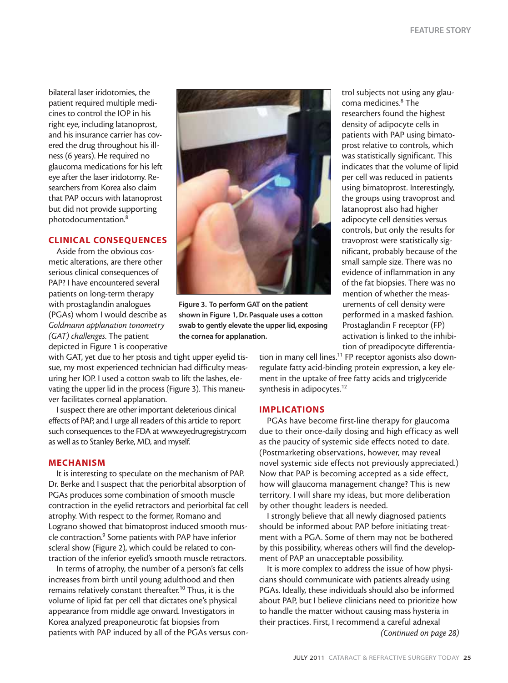bilateral laser iridotomies, the patient required multiple medicines to control the IOP in his right eye, including latanoprost, and his insurance carrier has covered the drug throughout his illness (6 years). He required no glaucoma medications for his left eye after the laser iridotomy. Researchers from Korea also claim that PAP occurs with latanoprost but did not provide supporting photodocumentation.8

#### **CLINICAL CONSEQUENCES**

Aside from the obvious cosmetic alterations, are there other serious clinical consequences of PAP? I have encountered several patients on long-term therapy with prostaglandin analogues (PGAs) whom I would describe as *Goldmann applanation tonometry (GAT) challenges*. The patient depicted in Figure 1 is cooperative

**Figure 3. To perform GAT on the patient shown in Figure 1, Dr. Pasquale uses a cotton swab to gently elevate the upper lid, exposing the cornea for applanation.**

trol subjects not using any glaucoma medicines.<sup>8</sup> The researchers found the highest density of adipocyte cells in patients with PAP using bimatoprost relative to controls, which was statistically significant. This indicates that the volume of lipid per cell was reduced in patients using bimatoprost. Interestingly, the groups using travoprost and latanoprost also had higher adipocyte cell densities versus controls, but only the results for travoprost were statistically significant, probably because of the small sample size. There was no evidence of inflammation in any of the fat biopsies. There was no mention of whether the measurements of cell density were performed in a masked fashion. Prostaglandin F receptor (FP) activation is linked to the inhibition of preadipocyte differentia-

with GAT, yet due to her ptosis and tight upper eyelid tissue, my most experienced technician had difficulty measuring her IOP. I used a cotton swab to lift the lashes, elevating the upper lid in the process (Figure 3). This maneuver facilitates corneal applanation.

I suspect there are other important deleterious clinical effects of PAP, and I urge all readers of this article to report such consequences to the FDA at www.eyedrugregistry.com as well as to Stanley Berke, MD, and myself.

#### **MECHANISM**

It is interesting to speculate on the mechanism of PAP. Dr. Berke and I suspect that the periorbital absorption of PGAs produces some combination of smooth muscle contraction in the eyelid retractors and periorbital fat cell atrophy. With respect to the former, Romano and Lograno showed that bimatoprost induced smooth muscle contraction.9 Some patients with PAP have inferior scleral show (Figure 2), which could be related to contraction of the inferior eyelid's smooth muscle retractors.

In terms of atrophy, the number of a person's fat cells increases from birth until young adulthood and then remains relatively constant thereafter.10 Thus, it is the volume of lipid fat per cell that dictates one's physical appearance from middle age onward. Investigators in Korea analyzed preaponeurotic fat biopsies from patients with PAP induced by all of the PGAs versus contion in many cell lines.<sup>11</sup> FP receptor agonists also downregulate fatty acid-binding protein expression, a key element in the uptake of free fatty acids and triglyceride synthesis in adipocytes.<sup>12</sup>

#### **IMPLICATIONS**

PGAs have become first-line therapy for glaucoma due to their once-daily dosing and high efficacy as well as the paucity of systemic side effects noted to date. (Postmarketing observations, however, may reveal novel systemic side effects not previously appreciated.) Now that PAP is becoming accepted as a side effect, how will glaucoma management change? This is new territory. I will share my ideas, but more deliberation by other thought leaders is needed.

I strongly believe that all newly diagnosed patients should be informed about PAP before initiating treatment with a PGA. Some of them may not be bothered by this possibility, whereas others will find the development of PAP an unacceptable possibility.

It is more complex to address the issue of how physicians should communicate with patients already using PGAs. Ideally, these individuals should also be informed about PAP, but I believe clinicians need to prioritize how to handle the matter without causing mass hysteria in their practices. First, I recommend a careful adnexal *(Continued on page 28)*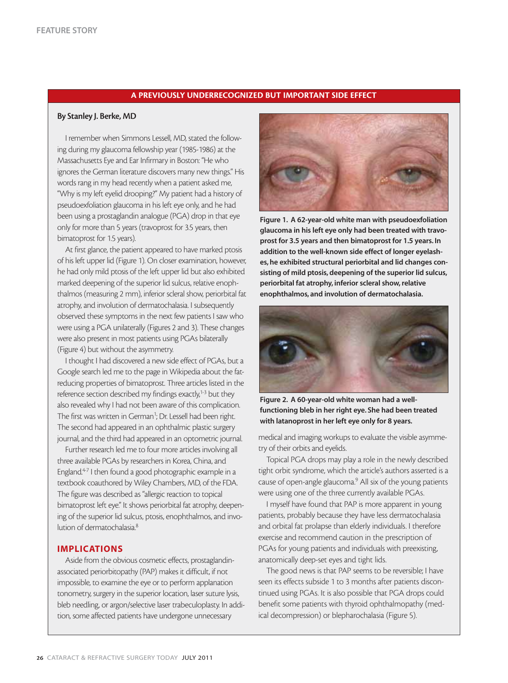#### **A PREVIOUSLY UNDERRECOGNIZED BUT IMPORTANT SIDE EFFECT**

#### **By Stanley J. Berke, MD**

I remember when Simmons Lessell, MD, stated the following during my glaucoma fellowship year (1985-1986) at the Massachusetts Eye and Ear Infirmary in Boston: "He who ignores the German literature discovers many new things." His words rang in my head recently when a patient asked me, "Why is my left eyelid drooping?" My patient had a history of pseudoexfoliation glaucoma in his left eye only, and he had been using a prostaglandin analogue (PGA) drop in that eye only for more than 5 years (travoprost for 3.5 years, then bimatoprost for 1.5 years).

At first glance, the patient appeared to have marked ptosis of his left upper lid (Figure 1). On closer examination, however, he had only mild ptosis of the left upper lid but also exhibited marked deepening of the superior lid sulcus, relative enophthalmos (measuring 2 mm), inferior scleral show, periorbital fat atrophy, and involution of dermatochalasia. I subsequently observed these symptoms in the next few patients I saw who were using a PGA unilaterally (Figures 2 and 3). These changes were also present in most patients using PGAs bilaterally (Figure 4) but without the asymmetry.

I thought I had discovered a new side effect of PGAs, but a Google search led me to the page in Wikipedia about the fatreducing properties of bimatoprost. Three articles listed in the reference section described my findings exactly,<sup>1-3</sup> but they also revealed why I had not been aware of this complication. The first was written in German<sup>1</sup>; Dr. Lessell had been right. The second had appeared in an ophthalmic plastic surgery journal, and the third had appeared in an optometric journal.

Further research led me to four more articles involving all three available PGAs by researchers in Korea, China, and England.4-7 I then found a good photographic example in a textbook coauthored by Wiley Chambers, MD, of the FDA. The figure was described as "allergic reaction to topical bimatoprost left eye." It shows periorbital fat atrophy, deepening of the superior lid sulcus, ptosis, enophthalmos, and involution of dermatochalasia<sup>8</sup>

#### **IMPLICATIONS**

Aside from the obvious cosmetic effects, prostaglandinassociated periorbitopathy (PAP) makes it difficult, if not impossible, to examine the eye or to perform applanation tonometry, surgery in the superior location, laser suture lysis, bleb needling, or argon/selective laser trabeculoplasty. In addition, some affected patients have undergone unnecessary



**Figure 1. A 62-year-old white man with pseudoexfoliation glaucoma in his left eye only had been treated with travoprost for 3.5 years and then bimatoprost for 1.5 years. In addition to the well-known side effect of longer eyelashes, he exhibited structural periorbital and lid changes consisting of mild ptosis, deepening of the superior lid sulcus, periorbital fat atrophy, inferior scleral show, relative enophthalmos, and involution of dermatochalasia.**



**Figure 2. A 60-year-old white woman had a wellfunctioning bleb in her right eye. She had been treated with latanoprost in her left eye only for 8 years.**

medical and imaging workups to evaluate the visible asymmetry of their orbits and eyelids.

Topical PGA drops may play a role in the newly described tight orbit syndrome, which the article's authors asserted is a cause of open-angle glaucoma.9 All six of the young patients were using one of the three currently available PGAs.

I myself have found that PAP is more apparent in young patients, probably because they have less dermatochalasia and orbital fat prolapse than elderly individuals. I therefore exercise and recommend caution in the prescription of PGAs for young patients and individuals with preexisting, anatomically deep-set eyes and tight lids.

The good news is that PAP seems to be reversible; I have seen its effects subside 1 to 3 months after patients discontinued using PGAs. It is also possible that PGA drops could benefit some patients with thyroid ophthalmopathy (medical decompression) or blepharochalasia (Figure 5).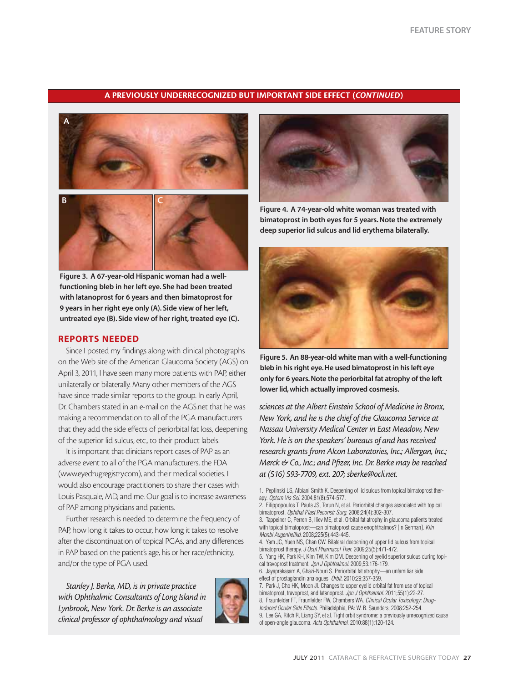#### **A PREVIOUSLY UNDERRECOGNIZED BUT IMPORTANT SIDE EFFECT (***CONTINUED***)**





**Figure 3. A 67-year-old Hispanic woman had a wellfunctioning bleb in her left eye. She had been treated with latanoprost for 6 years and then bimatoprost for 9 years in her right eye only (A). Side view of her left, untreated eye (B). Side view of her right, treated eye (C).**

#### **REPORTS NEEDED**

Since I posted my findings along with clinical photographs on the Web site of the American Glaucoma Society (AGS) on April 3, 2011, I have seen many more patients with PAP, either unilaterally or bilaterally. Many other members of the AGS have since made similar reports to the group. In early April, Dr. Chambers stated in an e-mail on the AGS.net that he was making a recommendation to all of the PGA manufacturers that they add the side effects of periorbital fat loss, deepening of the superior lid sulcus, etc., to their product labels.

It is important that clinicians report cases of PAP as an adverse event to all of the PGA manufacturers, the FDA (www.eyedrugregistry.com), and their medical societies. I would also encourage practitioners to share their cases with Louis Pasquale, MD, and me. Our goal is to increase awareness of PAP among physicians and patients.

Further research is needed to determine the frequency of PAP, how long it takes to occur, how long it takes to resolve after the discontinuation of topical PGAs, and any differences in PAP based on the patient's age, his or her race/ethnicity, and/or the type of PGA used.

*Stanley J. Berke, MD, is in private practice with Ophthalmic Consultants of Long Island in Lynbrook, New York. Dr. Berke is an associate clinical professor of ophthalmology and visual*





**Figure 4. A 74-year-old white woman was treated with bimatoprost in both eyes for 5 years. Note the extremely deep superior lid sulcus and lid erythema bilaterally.**



**Figure 5. An 88-year-old white man with a well-functioning bleb in his right eye. He used bimatoprost in his left eye only for 6 years. Note the periorbital fat atrophy of the left lower lid, which actually improved cosmesis.**

*sciences at the Albert Einstein School of Medicine in Bronx, New York, and he is the chief of the Glaucoma Service at Nassau University Medical Center in East Meadow, New York. He is on the speakers' bureaus of and has received research grants from Alcon Laboratories, Inc.; Allergan, Inc.; Merck & Co., Inc.; and Pfizer, Inc. Dr. Berke may be reached at (516) 593-7709, ext. 207; sberke@ocli.net.*

- 4. Yam JC, Yuen NS, Chan CW. Bilateral deepening of upper lid sulcus from topical bimatoprost therapy. J Ocul Pharmacol Ther. 2009;25(5):471-472.
- 5. Yang HK, Park KH, Kim TW, Kim DM. Deepening of eyelid superior sulcus during topical travoprost treatment. Jpn J Ophthalmol. 2009;53:176-179.
- 6. Jayaprakasam A, Ghazi-Nouri S. Periorbital fat atrophy—an unfamiliar side effect of prostaglandin analogues. Orbit. 2010:29;357-359.
- 7. Park J, Cho HK, Moon JI. Changes to upper eyelid orbital fat from use of topical bimatoprost, travoprost, and latanoprost. Jpn J Ophthalmol. 2011;55(1):22-27. 8. Fraunfelder FT, Fraunfelder FW, Chambers WA. Clinical Ocular Toxicology: Drug-Induced Ocular Side Effects. Philadelphia, PA: W. B. Saunders; 2008:252-254. 9. Lee GA, Ritch R, Liang SY, et al. Tight orbit syndrome: a previously unrecognized cause of open-angle glaucoma. Acta Ophthalmol. 2010:88(1):120-124.

<sup>1.</sup> Peplinski LS, Albiani Smith K. Deepening of lid sulcus from topical bimatoprost therapy. Optom Vis Sci. 2004;81(8):574-577.

<sup>2.</sup> Filippopoulos T, Paula JS, Torun N, et al. Periorbital changes associated with topical bimatoprost. Ophthal Plast Reconstr Surg. 2008;24(4):302-307.

<sup>3.</sup> Tappeiner C, Perren B, Iliev ME, et al. Orbital fat atrophy in glaucoma patients treated with topical bimatoprost-can bimatoprost cause enophthalmos? [in German]. Klin Monbl Augenheilkd. 2008;225(5):443-445.